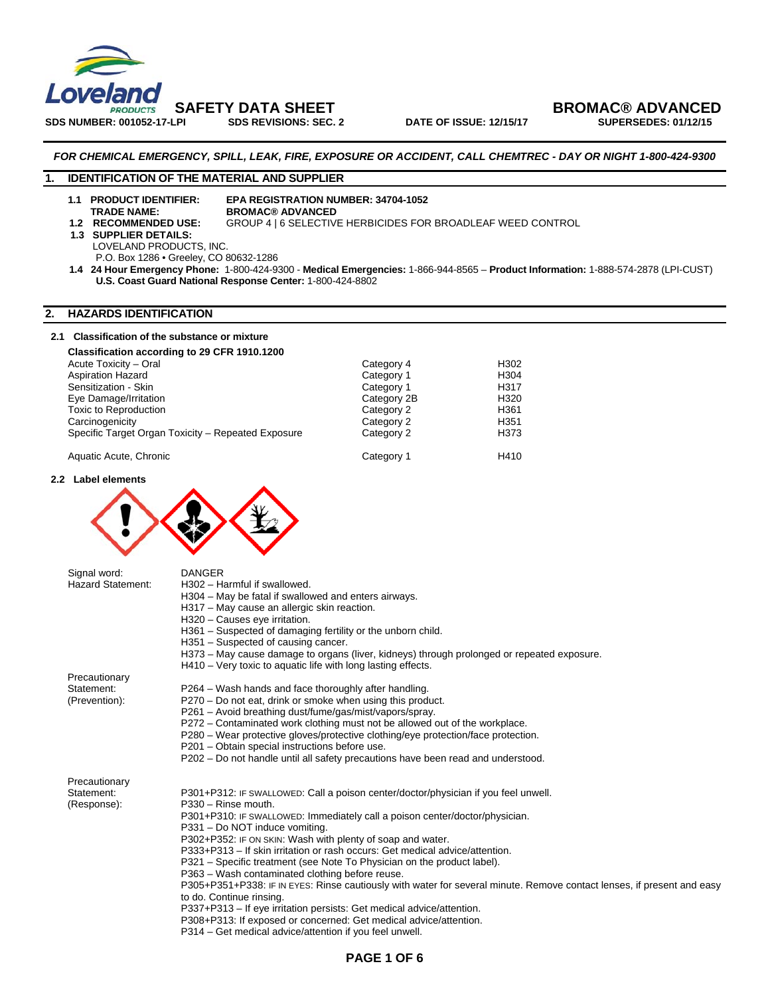

**SAFETY DATA SHEET**<br>PLATE BROMAC® ADVANCED bate of issue: 12/15/17 BROMAC® ADVANCED

#### *FOR CHEMICAL EMERGENCY, SPILL, LEAK, FIRE, EXPOSURE OR ACCIDENT, CALL CHEMTREC - DAY OR NIGHT 1-800-424-9300*

#### **1. IDENTIFICATION OF THE MATERIAL AND SUPPLIER**

# **1.1 PRODUCT IDENTIFIER: EPA REGISTRATION NUMBER: 34704-1052**

**TRADE NAME:** BROMAC® ADVANCED<br>1.2 RECOMMENDED USE: GROUP 4 | 6 SELECTIVI

# **GROUP 4 | 6 SELECTIVE HERBICIDES FOR BROADLEAF WEED CONTROL**

- 
- **1.3 SUPPLIER DETAILS:** 
	- LOVELAND PRODUCTS, INC.
	- P.O. Box 1286 Greeley, CO 80632-1286
- **1.4 24 Hour Emergency Phone:** 1-800-424-9300 **Medical Emergencies:** 1-866-944-8565 **Product Information:** 1-888-574-2878 (LPI-CUST) **U.S. Coast Guard National Response Center:** 1-800-424-8802

#### **2. HAZARDS IDENTIFICATION**

#### **2.1 Classification of the substance or mixture**

| Classification according to 29 CFR 1910.1200       |             |                  |
|----------------------------------------------------|-------------|------------------|
| Acute Toxicity - Oral                              | Category 4  | H302             |
| <b>Aspiration Hazard</b>                           | Category 1  | H304             |
| Sensitization - Skin                               | Category 1  | H317             |
| Eye Damage/Irritation                              | Category 2B | H <sub>320</sub> |
| Toxic to Reproduction                              | Category 2  | H361             |
| Carcinogenicity                                    | Category 2  | H351             |
| Specific Target Organ Toxicity - Repeated Exposure | Category 2  | H373             |
| Aquatic Acute, Chronic                             | Category 1  | H410             |

**2.2 Label elements** 



| Signal word:             | <b>DANGER</b>                                                                                                          |
|--------------------------|------------------------------------------------------------------------------------------------------------------------|
| <b>Hazard Statement:</b> | H302 - Harmful if swallowed.                                                                                           |
|                          | H304 – May be fatal if swallowed and enters airways.                                                                   |
|                          | H317 - May cause an allergic skin reaction.                                                                            |
|                          | H320 - Causes eye irritation.                                                                                          |
|                          | H361 - Suspected of damaging fertility or the unborn child.                                                            |
|                          | H351 - Suspected of causing cancer.                                                                                    |
|                          | H373 - May cause damage to organs (liver, kidneys) through prolonged or repeated exposure.                             |
|                          | H410 – Very toxic to aquatic life with long lasting effects.                                                           |
| Precautionary            |                                                                                                                        |
| Statement:               | P264 - Wash hands and face thoroughly after handling.                                                                  |
| (Prevention):            | P270 – Do not eat, drink or smoke when using this product.                                                             |
|                          | P261 - Avoid breathing dust/fume/gas/mist/vapors/spray.                                                                |
|                          | P272 – Contaminated work clothing must not be allowed out of the workplace.                                            |
|                          | P280 – Wear protective gloves/protective clothing/eye protection/face protection.                                      |
|                          | P201 - Obtain special instructions before use.                                                                         |
|                          | P202 - Do not handle until all safety precautions have been read and understood.                                       |
| Precautionary            |                                                                                                                        |
| Statement:               | P301+P312: IF SWALLOWED: Call a poison center/doctor/physician if you feel unwell.                                     |
| (Response):              | P330 - Rinse mouth.                                                                                                    |
|                          | P301+P310: IF SWALLOWED: Immediately call a poison center/doctor/physician.                                            |
|                          | P331 - Do NOT induce vomiting.                                                                                         |
|                          | P302+P352: IF ON SKIN: Wash with plenty of soap and water.                                                             |
|                          | P333+P313 – If skin irritation or rash occurs: Get medical advice/attention.                                           |
|                          | P321 – Specific treatment (see Note To Physician on the product label).                                                |
|                          | P363 - Wash contaminated clothing before reuse.                                                                        |
|                          | P305+P351+P338: IF IN EYES: Rinse cautiously with water for several minute. Remove contact lenses, if present and easy |
|                          | to do. Continue rinsing.                                                                                               |
|                          | P337+P313 - If eye irritation persists: Get medical advice/attention.                                                  |
|                          | P308+P313: If exposed or concerned: Get medical advice/attention.                                                      |
|                          | P314 – Get medical advice/attention if you feel unwell.                                                                |
|                          |                                                                                                                        |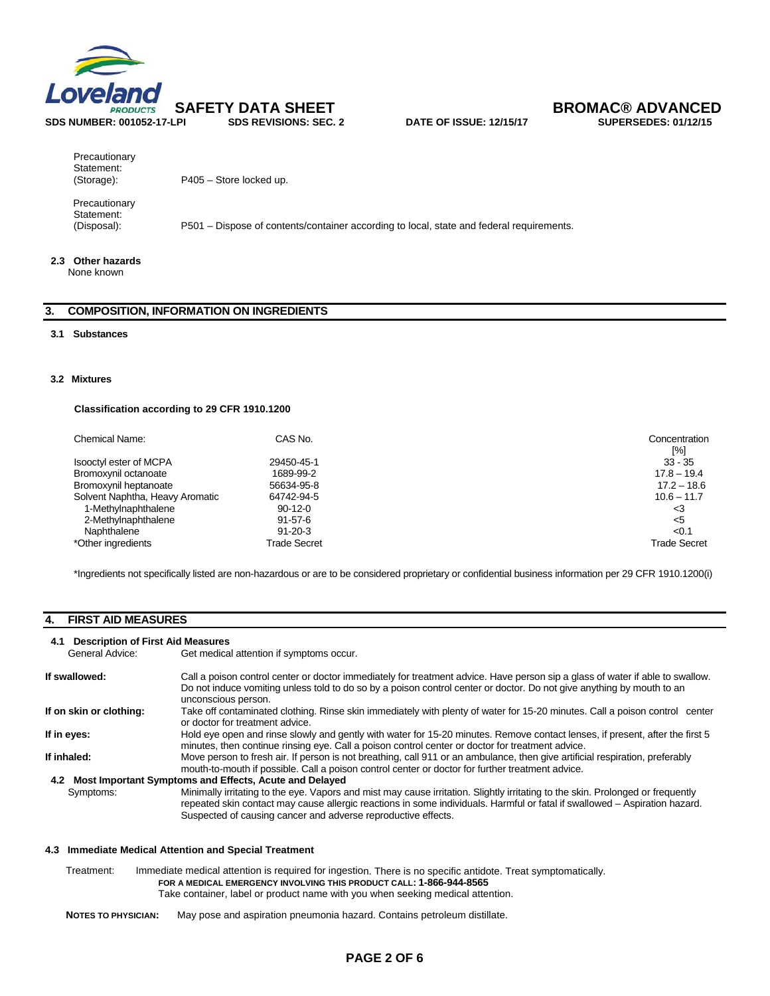



**Precautionary** Statement:<br>(Storage):

P405 – Store locked up.

 Precautionary Statement:<br>(Disposal):

P501 – Dispose of contents/container according to local, state and federal requirements.

#### **2.3 Other hazards**

None known

### **3. COMPOSITION, INFORMATION ON INGREDIENTS**

#### **3.1 Substances**

#### **3.2 Mixtures**

#### **Classification according to 29 CFR 1910.1200**

| Chemical Name:                  | CAS No.             | Concentration<br>[%] |
|---------------------------------|---------------------|----------------------|
| Isooctyl ester of MCPA          | 29450-45-1          | $33 - 35$            |
| Bromoxynil octanoate            | 1689-99-2           | $17.8 - 19.4$        |
| Bromoxynil heptanoate           | 56634-95-8          | $17.2 - 18.6$        |
| Solvent Naphtha, Heavy Aromatic | 64742-94-5          | $10.6 - 11.7$        |
| 1-Methylnaphthalene             | $90-12-0$           | <3                   |
| 2-Methylnaphthalene             | $91 - 57 - 6$       | $<$ 5                |
| Naphthalene                     | $91 - 20 - 3$       | < 0.1                |
| *Other ingredients              | <b>Trade Secret</b> | <b>Trade Secret</b>  |

\*Ingredients not specifically listed are non-hazardous or are to be considered proprietary or confidential business information per 29 CFR 1910.1200(i)

#### **4. FIRST AID MEASURES**

#### **4.1 Description of First Aid Measures**

General Advice: Get medical attention if symptoms occur.

| If swallowed:           | Call a poison control center or doctor immediately for treatment advice. Have person sip a glass of water if able to swallow.<br>Do not induce vomiting unless told to do so by a poison control center or doctor. Do not give anything by mouth to an<br>unconscious person.                                                  |
|-------------------------|--------------------------------------------------------------------------------------------------------------------------------------------------------------------------------------------------------------------------------------------------------------------------------------------------------------------------------|
| If on skin or clothing: | Take off contaminated clothing. Rinse skin immediately with plenty of water for 15-20 minutes. Call a poison control center<br>or doctor for treatment advice.                                                                                                                                                                 |
| If in eyes:             | Hold eye open and rinse slowly and gently with water for 15-20 minutes. Remove contact lenses, if present, after the first 5<br>minutes, then continue rinsing eye. Call a poison control center or doctor for treatment advice.                                                                                               |
| If inhaled:             | Move person to fresh air. If person is not breathing, call 911 or an ambulance, then give artificial respiration, preferably<br>mouth-to-mouth if possible. Call a poison control center or doctor for further treatment advice.                                                                                               |
| 4.2                     | Most Important Symptoms and Effects, Acute and Delayed                                                                                                                                                                                                                                                                         |
| Symptoms:               | Minimally irritating to the eye. Vapors and mist may cause irritation. Slightly irritating to the skin. Prolonged or frequently<br>repeated skin contact may cause allergic reactions in some individuals. Harmful or fatal if swallowed - Aspiration hazard.<br>Suspected of causing cancer and adverse reproductive effects. |

#### **4.3 Immediate Medical Attention and Special Treatment**

Treatment: Immediate medical attention is required for ingestion. There is no specific antidote. Treat symptomatically.  **FOR A MEDICAL EMERGENCY INVOLVING THIS PRODUCT CALL: 1-866-944-8565**  Take container, label or product name with you when seeking medical attention.

**NOTES TO PHYSICIAN:** May pose and aspiration pneumonia hazard. Contains petroleum distillate.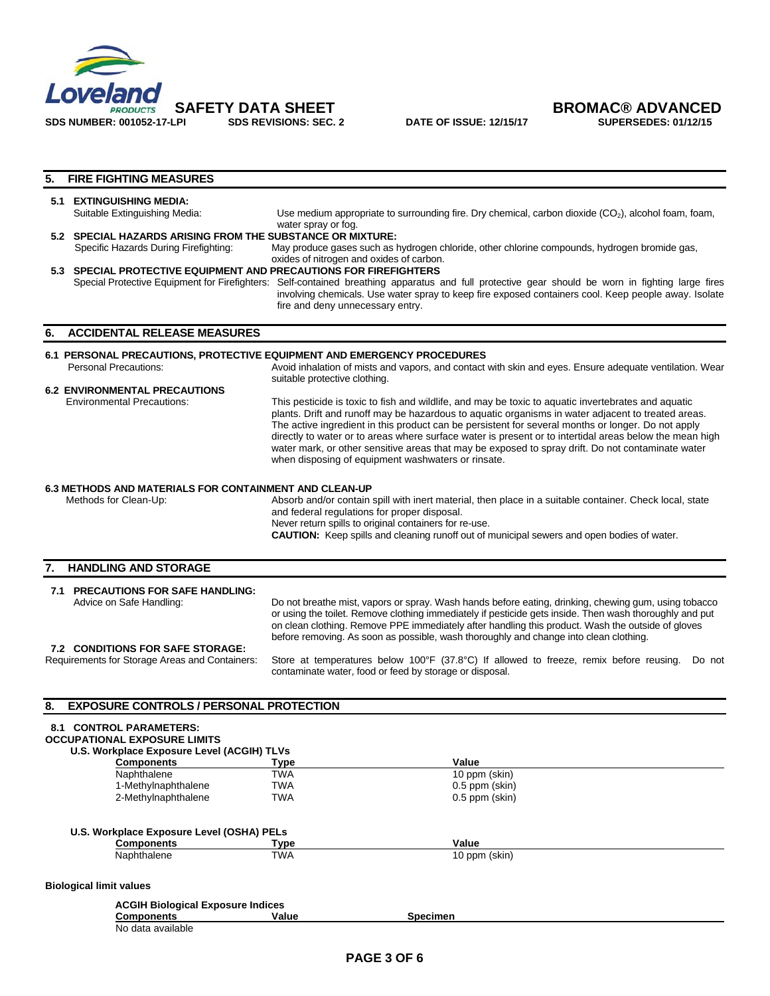



## **5. FIRE FIGHTING MEASURES 5.1 EXTINGUISHING MEDIA:**<br>Suitable Extinguishing Media: Use medium appropriate to surrounding fire. Dry chemical, carbon dioxide  $(CO<sub>2</sub>)$ , alcohol foam, foam, water spray or fog. **5.2 SPECIAL HAZARDS ARISING FROM THE SUBSTANCE OR MIXTURE:**<br>Specific Hazards During Firefighting: May produce gases such as May produce gases such as hydrogen chloride, other chlorine compounds, hydrogen bromide gas, oxides of nitrogen and oxides of carbon. **5.3 SPECIAL PROTECTIVE EQUIPMENT AND PRECAUTIONS FOR FIREFIGHTERS**  Special Protective Equipment for Firefighters: Self-contained breathing apparatus and full protective gear should be worn in fighting large fires involving chemicals. Use water spray to keep fire exposed containers cool. Keep people away. Isolate fire and deny unnecessary entry. **6. ACCIDENTAL RELEASE MEASURES 6.1 PERSONAL PRECAUTIONS, PROTECTIVE EQUIPMENT AND EMERGENCY PROCEDURES**  Personal Precautions: Avoid inhalation of mists and vapors, and contact with skin and eyes. Ensure adequate ventilation. Wear suitable protective clothing. **6.2 ENVIRONMENTAL PRECAUTIONS**<br> **Environmental Precautions:** This pesticide is toxic to fish and wildlife, and may be toxic to aquatic invertebrates and aquatic plants. Drift and runoff may be hazardous to aquatic organisms in water adjacent to treated areas. The active ingredient in this product can be persistent for several months or longer. Do not apply directly to water or to areas where surface water is present or to intertidal areas below the mean high water mark, or other sensitive areas that may be exposed to spray drift. Do not contaminate water when disposing of equipment washwaters or rinsate. **6.3 METHODS AND MATERIALS FOR CONTAINMENT AND CLEAN-UP**  Methods for Clean-Up: Absorb and/or contain spill with inert material, then place in a suitable container. Check local, state and federal regulations for proper disposal. Never return spills to original containers for re-use. **CAUTION:** Keep spills and cleaning runoff out of municipal sewers and open bodies of water. **7. HANDLING AND STORAGE 7.1 PRECAUTIONS FOR SAFE HANDLING:**  Do not breathe mist, vapors or spray. Wash hands before eating, drinking, chewing gum, using tobacco or using the toilet. Remove clothing immediately if pesticide gets inside. Then wash thoroughly and put on clean clothing. Remove PPE immediately after handling this product. Wash the outside of gloves before removing. As soon as possible, wash thoroughly and change into clean clothing. **7.2 CONDITIONS FOR SAFE STORAGE:**  Requirements for Storage Areas and Containers: Store at temperatures below 100°F (37.8°C) If allowed to freeze, remix before reusing. Do not contaminate water, food or feed by storage or disposal. **8. EXPOSURE CONTROLS / PERSONAL PROTECTION**

| <b>8.1 CONTROL PARAMETERS:</b>      |
|-------------------------------------|
| <b>OCCUPATIONAL EXPOSURE LIMITS</b> |

 **U.S. Workplace Exposure Level (ACGIH) TLVs** 

| Components                                                                                                                                                                                                                         | Type                                                 | Value                |  |
|------------------------------------------------------------------------------------------------------------------------------------------------------------------------------------------------------------------------------------|------------------------------------------------------|----------------------|--|
| Naphthalene                                                                                                                                                                                                                        | <b>TWA</b>                                           | 10 ppm (skin)        |  |
| 1-Methylnaphthalene                                                                                                                                                                                                                | <b>TWA</b>                                           | $0.5$ ppm (skin)     |  |
| 2-Methylnaphthalene                                                                                                                                                                                                                | <b>TWA</b>                                           | $0.5$ ppm (skin)     |  |
| U.S. Workplace Exposure Level (OSHA) PELs                                                                                                                                                                                          |                                                      |                      |  |
| Components                                                                                                                                                                                                                         | Type                                                 | Value                |  |
| Naphthalene                                                                                                                                                                                                                        | <b>TWA</b>                                           | 10 ppm (skin)        |  |
| <b>Biological limit values</b>                                                                                                                                                                                                     |                                                      |                      |  |
| $\bullet$ and the set of the set of the set of the set of the set of the set of the set of the set of the set of the set of the set of the set of the set of the set of the set of the set of the set of the set of the set of the | <b>ACGIH Biological Exposure Indices</b><br>$\cdots$ | $\sim$ $\sim$ $\sim$ |  |

| Components            | Value | Specimen |
|-----------------------|-------|----------|
| ⊧available<br>No data |       |          |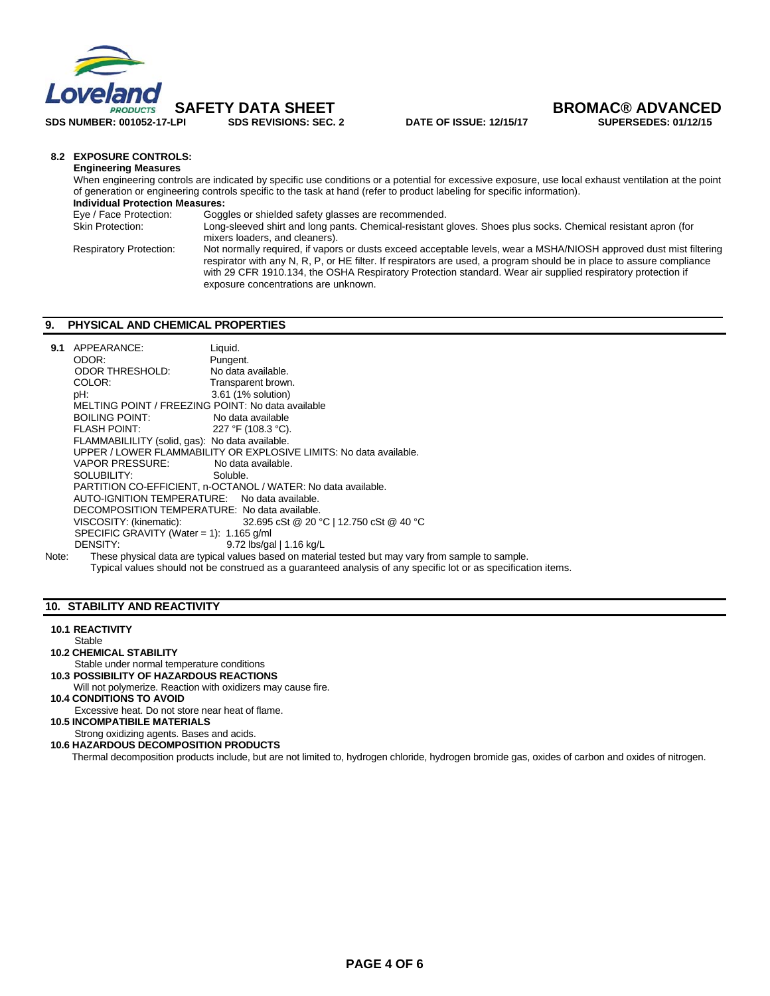

**SDS NUMBER: 001052-17-LPI SDS REVISIONS: SEC. 2 DATE OF ISSUE: 12/15/17 SUPERSEDES: 01/12/15** 

 **SAFETY DATA SHEET BROMAC® ADVANCED** 

#### **8.2 EXPOSURE CONTROLS:**

**Engineering Measures**  When engineering controls are indicated by specific use conditions or a potential for excessive exposure, use local exhaust ventilation at the point of generation or engineering controls specific to the task at hand (refer to product labeling for specific information).  **Individual Protection Measures:** Eye / Face Protection: Goggles or shielded safety glasses are recommended. Long-sleeved shirt and long pants. Chemical-resistant gloves. Shoes plus socks. Chemical resistant apron (for mixers loaders, and cleaners). Respiratory Protection: Not normally required, if vapors or dusts exceed acceptable levels, wear a MSHA/NIOSH approved dust mist filtering respirator with any N, R, P, or HE filter. If respirators are used, a program should be in place to assure compliance with 29 CFR 1910.134, the OSHA Respiratory Protection standard. Wear air supplied respiratory protection if exposure concentrations are unknown.

#### **9. PHYSICAL AND CHEMICAL PROPERTIES**

| 9.1                                                           | APPEARANCE:                                                        | Liquid.                                                                                                        |  |  |  |
|---------------------------------------------------------------|--------------------------------------------------------------------|----------------------------------------------------------------------------------------------------------------|--|--|--|
|                                                               | ODOR:                                                              | Pungent.                                                                                                       |  |  |  |
|                                                               | ODOR THRESHOLD:                                                    | No data available.                                                                                             |  |  |  |
|                                                               | COLOR:                                                             | Transparent brown.                                                                                             |  |  |  |
|                                                               | pH:                                                                | 3.61 (1% solution)                                                                                             |  |  |  |
|                                                               | MELTING POINT / FREEZING POINT: No data available                  |                                                                                                                |  |  |  |
|                                                               | <b>BOILING POINT:</b>                                              | No data available                                                                                              |  |  |  |
|                                                               |                                                                    | 227 °F (108.3 °C).                                                                                             |  |  |  |
|                                                               | FLAMMABILILITY (solid, gas): No data available.                    |                                                                                                                |  |  |  |
|                                                               | UPPER / LOWER FLAMMABILITY OR EXPLOSIVE LIMITS: No data available. |                                                                                                                |  |  |  |
|                                                               | VAPOR PRESSURE:                                                    | No data available.                                                                                             |  |  |  |
|                                                               | SOLUBILITY:                                                        | Soluble.                                                                                                       |  |  |  |
| PARTITION CO-EFFICIENT, n-OCTANOL / WATER: No data available. |                                                                    |                                                                                                                |  |  |  |
|                                                               | AUTO-IGNITION TEMPERATURE: No data available.                      |                                                                                                                |  |  |  |
|                                                               | DECOMPOSITION TEMPERATURE: No data available.                      |                                                                                                                |  |  |  |
|                                                               |                                                                    | VISCOSITY: (kinematic): $32.695 \text{ cSt} \text{ @ } 20 \text{ °C}$   12.750 cSt $\text{@ } 40 \text{ °C}$   |  |  |  |
|                                                               | SPECIFIC GRAVITY (Water = 1): $1.165$ g/ml                         |                                                                                                                |  |  |  |
|                                                               | DENSITY:                                                           | 9.72 lbs/gal   1.16 kg/L                                                                                       |  |  |  |
| Note:                                                         |                                                                    | These physical data are typical values based on material tested but may vary from sample to sample.            |  |  |  |
|                                                               |                                                                    | Typical values should not be construed as a quaranteed analysis of any specific lot or as specification items. |  |  |  |

#### **10. STABILITY AND REACTIVITY**

**10.1 REACTIVITY** 

- **Stable 10.2 CHEMICAL STABILITY**
- Stable under normal temperature conditions
- **10.3 POSSIBILITY OF HAZARDOUS REACTIONS**
- Will not polymerize. Reaction with oxidizers may cause fire.
- **10.4 CONDITIONS TO AVOID**
- Excessive heat. Do not store near heat of flame.
- **10.5 INCOMPATIBILE MATERIALS**
- Strong oxidizing agents. Bases and acids.
- **10.6 HAZARDOUS DECOMPOSITION PRODUCTS**

Thermal decomposition products include, but are not limited to, hydrogen chloride, hydrogen bromide gas, oxides of carbon and oxides of nitrogen.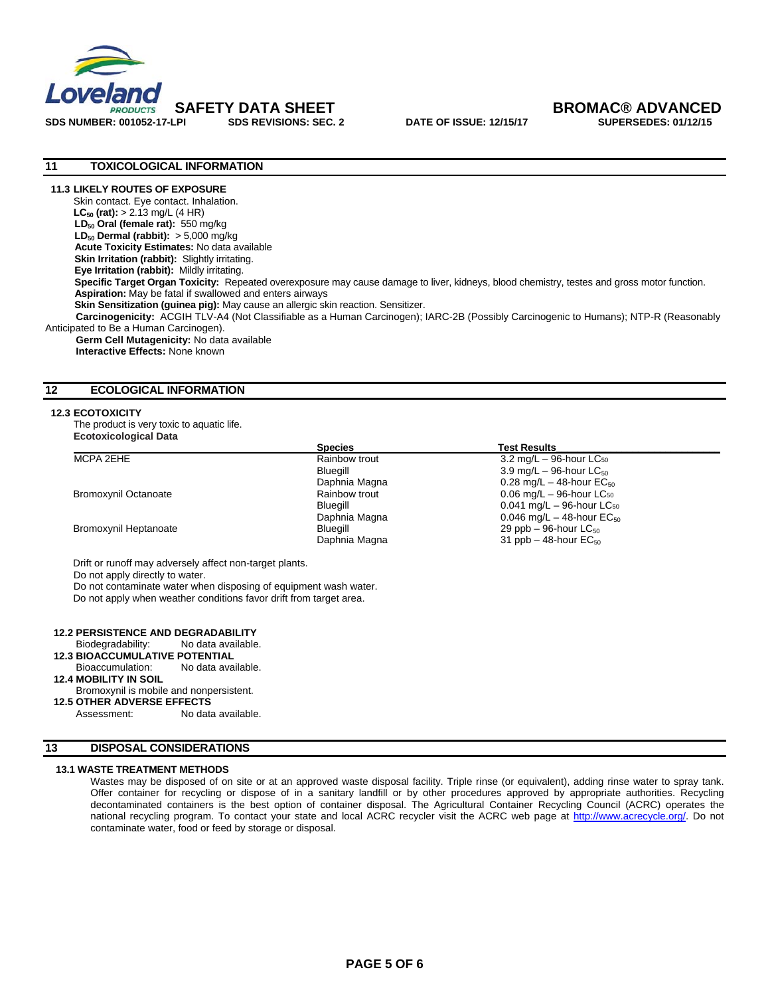

# **SAFETY DATA SHEET BROMAC® ADVANCED**

#### **11 TOXICOLOGICAL INFORMATION**

#### **11.3 LIKELY ROUTES OF EXPOSURE**

Skin contact. Eye contact. Inhalation. **LC<sub>50</sub>** (rat):  $> 2.13$  mg/L (4 HR) LD<sub>50</sub> Oral (female rat): 550 mg/kg **LD<sub>50</sub> Dermal (rabbit):** > 5,000 mg/kg **Acute Toxicity Estimates:** No data available **Skin Irritation (rabbit):** Slightly irritating.  **Eye Irritation (rabbit):** Mildly irritating.  **Specific Target Organ Toxicity:** Repeated overexposure may cause damage to liver, kidneys, blood chemistry, testes and gross motor function. **Aspiration:** May be fatal if swallowed and enters airways **Skin Sensitization (guinea pig):** May cause an allergic skin reaction. Sensitizer.  **Carcinogenicity:** ACGIH TLV-A4 (Not Classifiable as a Human Carcinogen); IARC-2B (Possibly Carcinogenic to Humans); NTP-R (Reasonably Anticipated to Be a Human Carcinogen).

 **Germ Cell Mutagenicity:** No data available **Interactive Effects:** None known

#### **12 ECOLOGICAL INFORMATION**

#### **12.3 ECOTOXICITY**

The product is very toxic to aquatic life. **Ecotoxicological Data** 

|                             | <b>Species</b> | <b>Test Results</b>                            |
|-----------------------------|----------------|------------------------------------------------|
| MCPA 2EHE                   | Rainbow trout  | $3.2 \text{ mg/L} - 96$ -hour LC <sub>50</sub> |
|                             | Bluegill       | 3.9 mg/L $-$ 96-hour LC $_{50}$                |
|                             | Daphnia Magna  | 0.28 mg/L $-$ 48-hour EC <sub>50</sub>         |
| <b>Bromoxynil Octanoate</b> | Rainbow trout  | $0.06$ mg/L $-$ 96-hour LC <sub>50</sub>       |
|                             | Bluegill       | $0.041$ mg/L $-$ 96-hour LC <sub>50</sub>      |
|                             | Daphnia Magna  | 0.046 mg/L $-$ 48-hour EC <sub>50</sub>        |
| Bromoxynil Heptanoate       | Bluegill       | 29 ppb $-$ 96-hour LC $_{50}$                  |
|                             | Daphnia Magna  | 31 ppb $-$ 48-hour $EC_{50}$                   |

Drift or runoff may adversely affect non-target plants.

Do not apply directly to water.

Do not contaminate water when disposing of equipment wash water. Do not apply when weather conditions favor drift from target area.

#### **12.2 PERSISTENCE AND DEGRADABILITY**

Biodegradability: No data available.

**12.3 BIOAČCUMULATIVE POTENTIAL**<br>Bioaccumulation: No data available.

Bioaccumulation:

**12.4 MOBILITY IN SOIL**

#### Bromoxynil is mobile and nonpersistent.

# **12.5 OTHER ADVERSE EFFECTS**

No data available.

#### **13 DISPOSAL CONSIDERATIONS**

#### **13.1 WASTE TREATMENT METHODS**

Wastes may be disposed of on site or at an approved waste disposal facility. Triple rinse (or equivalent), adding rinse water to spray tank. Offer container for recycling or dispose of in a sanitary landfill or by other procedures approved by appropriate authorities. Recycling decontaminated containers is the best option of container disposal. The Agricultural Container Recycling Council (ACRC) operates the national recycling program. To contact your state and local ACRC recycler visit the ACRC web page at http://www.acrecycle.org/. Do not contaminate water, food or feed by storage or disposal.